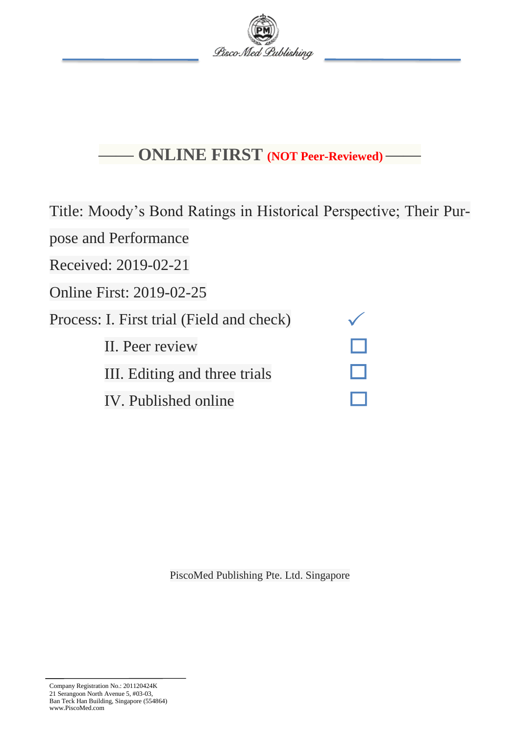

# **—— ONLINE FIRST (NOT Peer-Reviewed) ——**

Title: Moody's Bond Ratings in Historical Perspective; Their Pur-

pose and Performance

Received: 2019-02-21

Online First: 2019-02-25

Process: I. First trial (Field and check)

II. Peer review

III. Editing and three trials

IV. Published online

PiscoMed Publishing Pte. Ltd. Singapore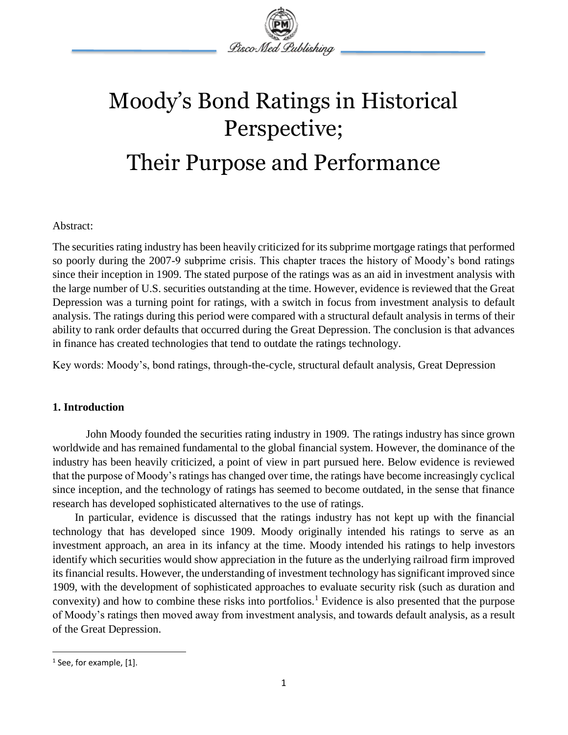

# Moody's Bond Ratings in Historical Perspective; Their Purpose and Performance

# Abstract:

The securities rating industry has been heavily criticized for its subprime mortgage ratings that performed so poorly during the 2007-9 subprime crisis. This chapter traces the history of Moody's bond ratings since their inception in 1909. The stated purpose of the ratings was as an aid in investment analysis with the large number of U.S. securities outstanding at the time. However, evidence is reviewed that the Great Depression was a turning point for ratings, with a switch in focus from investment analysis to default analysis. The ratings during this period were compared with a structural default analysis in terms of their ability to rank order defaults that occurred during the Great Depression. The conclusion is that advances in finance has created technologies that tend to outdate the ratings technology.

Key words: Moody's, bond ratings, through-the-cycle, structural default analysis, Great Depression

# **1. Introduction**

John Moody founded the securities rating industry in 1909. The ratings industry has since grown worldwide and has remained fundamental to the global financial system. However, the dominance of the industry has been heavily criticized, a point of view in part pursued here. Below evidence is reviewed that the purpose of Moody's ratings has changed over time, the ratings have become increasingly cyclical since inception, and the technology of ratings has seemed to become outdated, in the sense that finance research has developed sophisticated alternatives to the use of ratings.

In particular, evidence is discussed that the ratings industry has not kept up with the financial technology that has developed since 1909. Moody originally intended his ratings to serve as an investment approach, an area in its infancy at the time. Moody intended his ratings to help investors identify which securities would show appreciation in the future as the underlying railroad firm improved its financial results. However, the understanding of investment technology has significant improved since 1909, with the development of sophisticated approaches to evaluate security risk (such as duration and convexity) and how to combine these risks into portfolios.<sup>1</sup> Evidence is also presented that the purpose of Moody's ratings then moved away from investment analysis, and towards default analysis, as a result of the Great Depression.

 $\overline{\phantom{a}}$ 

<sup>&</sup>lt;sup>1</sup> See, for example, [1].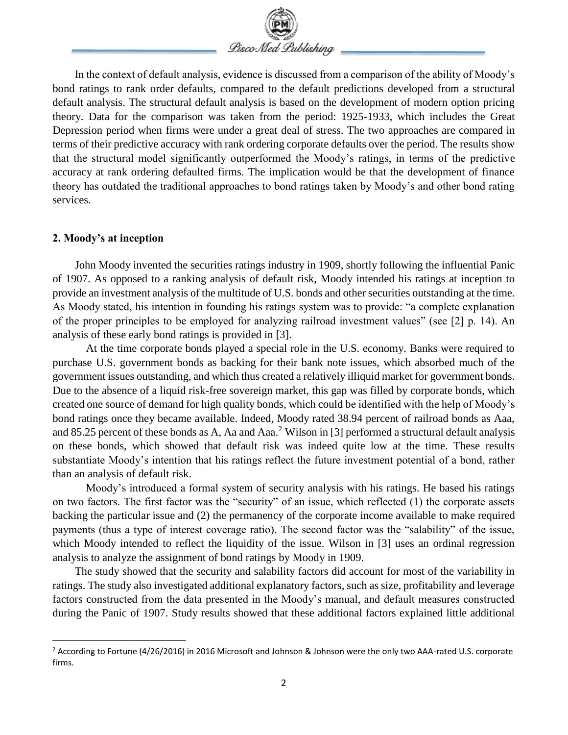

In the context of default analysis, evidence is discussed from a comparison of the ability of Moody's bond ratings to rank order defaults, compared to the default predictions developed from a structural default analysis. The structural default analysis is based on the development of modern option pricing theory. Data for the comparison was taken from the period: 1925-1933, which includes the Great Depression period when firms were under a great deal of stress. The two approaches are compared in terms of their predictive accuracy with rank ordering corporate defaults over the period. The results show that the structural model significantly outperformed the Moody's ratings, in terms of the predictive accuracy at rank ordering defaulted firms. The implication would be that the development of finance theory has outdated the traditional approaches to bond ratings taken by Moody's and other bond rating services.

#### **2. Moody's at inception**

 $\overline{\phantom{a}}$ 

John Moody invented the securities ratings industry in 1909, shortly following the influential Panic of 1907. As opposed to a ranking analysis of default risk, Moody intended his ratings at inception to provide an investment analysis of the multitude of U.S. bonds and other securities outstanding at the time. As Moody stated, his intention in founding his ratings system was to provide: "a complete explanation of the proper principles to be employed for analyzing railroad investment values" (see [2] p. 14). An analysis of these early bond ratings is provided in [3].

At the time corporate bonds played a special role in the U.S. economy. Banks were required to purchase U.S. government bonds as backing for their bank note issues, which absorbed much of the government issues outstanding, and which thus created a relatively illiquid market for government bonds. Due to the absence of a liquid risk-free sovereign market, this gap was filled by corporate bonds, which created one source of demand for high quality bonds, which could be identified with the help of Moody's bond ratings once they became available. Indeed, Moody rated 38.94 percent of railroad bonds as Aaa, and 85.25 percent of these bonds as A, Aa and Aaa.<sup>2</sup> Wilson in [3] performed a structural default analysis on these bonds, which showed that default risk was indeed quite low at the time. These results substantiate Moody's intention that his ratings reflect the future investment potential of a bond, rather than an analysis of default risk.

Moody's introduced a formal system of security analysis with his ratings. He based his ratings on two factors. The first factor was the "security" of an issue, which reflected (1) the corporate assets backing the particular issue and (2) the permanency of the corporate income available to make required payments (thus a type of interest coverage ratio). The second factor was the "salability" of the issue, which Moody intended to reflect the liquidity of the issue. Wilson in [3] uses an ordinal regression analysis to analyze the assignment of bond ratings by Moody in 1909.

The study showed that the security and salability factors did account for most of the variability in ratings. The study also investigated additional explanatory factors, such as size, profitability and leverage factors constructed from the data presented in the Moody's manual, and default measures constructed during the Panic of 1907. Study results showed that these additional factors explained little additional

<sup>&</sup>lt;sup>2</sup> According to Fortune (4/26/2016) in 2016 Microsoft and Johnson & Johnson were the only two AAA-rated U.S. corporate firms.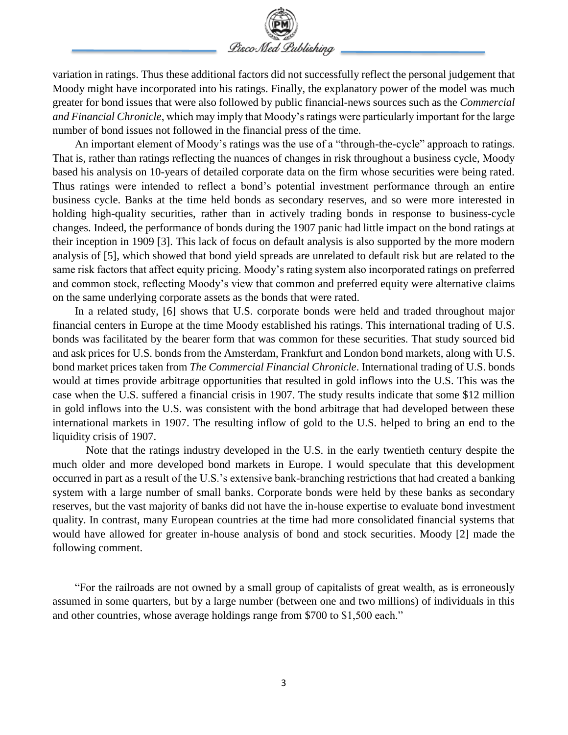

variation in ratings. Thus these additional factors did not successfully reflect the personal judgement that Moody might have incorporated into his ratings. Finally, the explanatory power of the model was much greater for bond issues that were also followed by public financial-news sources such as the *Commercial and Financial Chronicle*, which may imply that Moody's ratings were particularly important for the large number of bond issues not followed in the financial press of the time.

An important element of Moody's ratings was the use of a "through-the-cycle" approach to ratings. That is, rather than ratings reflecting the nuances of changes in risk throughout a business cycle, Moody based his analysis on 10-years of detailed corporate data on the firm whose securities were being rated. Thus ratings were intended to reflect a bond's potential investment performance through an entire business cycle. Banks at the time held bonds as secondary reserves, and so were more interested in holding high-quality securities, rather than in actively trading bonds in response to business-cycle changes. Indeed, the performance of bonds during the 1907 panic had little impact on the bond ratings at their inception in 1909 [3]. This lack of focus on default analysis is also supported by the more modern analysis of [5], which showed that bond yield spreads are unrelated to default risk but are related to the same risk factors that affect equity pricing. Moody's rating system also incorporated ratings on preferred and common stock, reflecting Moody's view that common and preferred equity were alternative claims on the same underlying corporate assets as the bonds that were rated.

In a related study, [6] shows that U.S. corporate bonds were held and traded throughout major financial centers in Europe at the time Moody established his ratings. This international trading of U.S. bonds was facilitated by the bearer form that was common for these securities. That study sourced bid and ask prices for U.S. bonds from the Amsterdam, Frankfurt and London bond markets, along with U.S. bond market prices taken from *The Commercial Financial Chronicle*. International trading of U.S. bonds would at times provide arbitrage opportunities that resulted in gold inflows into the U.S. This was the case when the U.S. suffered a financial crisis in 1907. The study results indicate that some \$12 million in gold inflows into the U.S. was consistent with the bond arbitrage that had developed between these international markets in 1907. The resulting inflow of gold to the U.S. helped to bring an end to the liquidity crisis of 1907.

Note that the ratings industry developed in the U.S. in the early twentieth century despite the much older and more developed bond markets in Europe. I would speculate that this development occurred in part as a result of the U.S.'s extensive bank-branching restrictions that had created a banking system with a large number of small banks. Corporate bonds were held by these banks as secondary reserves, but the vast majority of banks did not have the in-house expertise to evaluate bond investment quality. In contrast, many European countries at the time had more consolidated financial systems that would have allowed for greater in-house analysis of bond and stock securities. Moody [2] made the following comment.

"For the railroads are not owned by a small group of capitalists of great wealth, as is erroneously assumed in some quarters, but by a large number (between one and two millions) of individuals in this and other countries, whose average holdings range from \$700 to \$1,500 each."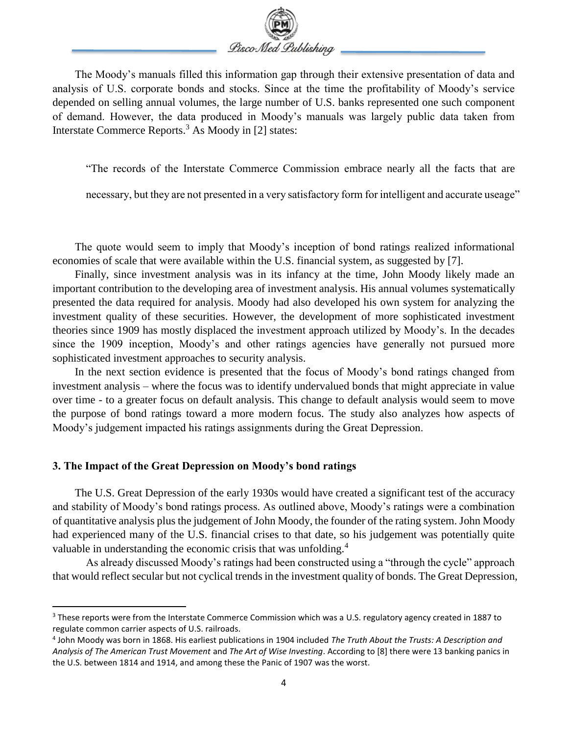

The Moody's manuals filled this information gap through their extensive presentation of data and analysis of U.S. corporate bonds and stocks. Since at the time the profitability of Moody's service depended on selling annual volumes, the large number of U.S. banks represented one such component of demand. However, the data produced in Moody's manuals was largely public data taken from Interstate Commerce Reports.<sup>3</sup> As Moody in [2] states:

"The records of the Interstate Commerce Commission embrace nearly all the facts that are

necessary, but they are not presented in a very satisfactory form for intelligent and accurate useage"

The quote would seem to imply that Moody's inception of bond ratings realized informational economies of scale that were available within the U.S. financial system, as suggested by [7].

Finally, since investment analysis was in its infancy at the time, John Moody likely made an important contribution to the developing area of investment analysis. His annual volumes systematically presented the data required for analysis. Moody had also developed his own system for analyzing the investment quality of these securities. However, the development of more sophisticated investment theories since 1909 has mostly displaced the investment approach utilized by Moody's. In the decades since the 1909 inception, Moody's and other ratings agencies have generally not pursued more sophisticated investment approaches to security analysis.

In the next section evidence is presented that the focus of Moody's bond ratings changed from investment analysis – where the focus was to identify undervalued bonds that might appreciate in value over time - to a greater focus on default analysis. This change to default analysis would seem to move the purpose of bond ratings toward a more modern focus. The study also analyzes how aspects of Moody's judgement impacted his ratings assignments during the Great Depression.

## **3. The Impact of the Great Depression on Moody's bond ratings**

 $\overline{\phantom{a}}$ 

The U.S. Great Depression of the early 1930s would have created a significant test of the accuracy and stability of Moody's bond ratings process. As outlined above, Moody's ratings were a combination of quantitative analysis plus the judgement of John Moody, the founder of the rating system. John Moody had experienced many of the U.S. financial crises to that date, so his judgement was potentially quite valuable in understanding the economic crisis that was unfolding.<sup>4</sup>

As already discussed Moody's ratings had been constructed using a "through the cycle" approach that would reflect secular but not cyclical trends in the investment quality of bonds. The Great Depression,

<sup>&</sup>lt;sup>3</sup> These reports were from the Interstate Commerce Commission which was a U.S. regulatory agency created in 1887 to regulate common carrier aspects of U.S. railroads.

<sup>4</sup> John Moody was born in 1868. His earliest publications in 1904 included *The Truth About the Trusts: A Description and Analysis of The American Trust Movement* and *The Art of Wise Investing*. According to [8] there were 13 banking panics in the U.S. between 1814 and 1914, and among these the Panic of 1907 was the worst.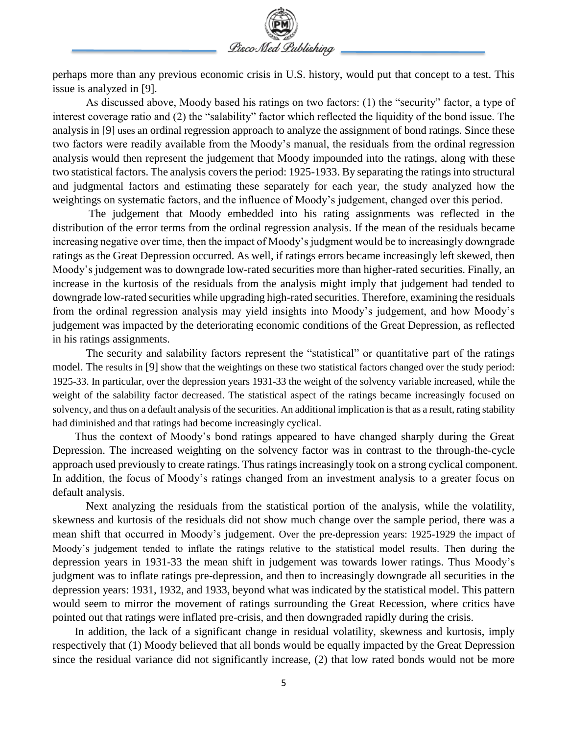

perhaps more than any previous economic crisis in U.S. history, would put that concept to a test. This issue is analyzed in [9].

As discussed above, Moody based his ratings on two factors: (1) the "security" factor, a type of interest coverage ratio and (2) the "salability" factor which reflected the liquidity of the bond issue. The analysis in [9] uses an ordinal regression approach to analyze the assignment of bond ratings. Since these two factors were readily available from the Moody's manual, the residuals from the ordinal regression analysis would then represent the judgement that Moody impounded into the ratings, along with these two statistical factors. The analysis covers the period: 1925-1933. By separating the ratings into structural and judgmental factors and estimating these separately for each year, the study analyzed how the weightings on systematic factors, and the influence of Moody's judgement, changed over this period.

The judgement that Moody embedded into his rating assignments was reflected in the distribution of the error terms from the ordinal regression analysis. If the mean of the residuals became increasing negative over time, then the impact of Moody's judgment would be to increasingly downgrade ratings as the Great Depression occurred. As well, if ratings errors became increasingly left skewed, then Moody's judgement was to downgrade low-rated securities more than higher-rated securities. Finally, an increase in the kurtosis of the residuals from the analysis might imply that judgement had tended to downgrade low-rated securities while upgrading high-rated securities. Therefore, examining the residuals from the ordinal regression analysis may yield insights into Moody's judgement, and how Moody's judgement was impacted by the deteriorating economic conditions of the Great Depression, as reflected in his ratings assignments.

The security and salability factors represent the "statistical" or quantitative part of the ratings model. The results in [9] show that the weightings on these two statistical factors changed over the study period: 1925-33. In particular, over the depression years 1931-33 the weight of the solvency variable increased, while the weight of the salability factor decreased. The statistical aspect of the ratings became increasingly focused on solvency, and thus on a default analysis of the securities. An additional implication is that as a result, rating stability had diminished and that ratings had become increasingly cyclical.

Thus the context of Moody's bond ratings appeared to have changed sharply during the Great Depression. The increased weighting on the solvency factor was in contrast to the through-the-cycle approach used previously to create ratings. Thus ratings increasingly took on a strong cyclical component. In addition, the focus of Moody's ratings changed from an investment analysis to a greater focus on default analysis.

Next analyzing the residuals from the statistical portion of the analysis, while the volatility, skewness and kurtosis of the residuals did not show much change over the sample period, there was a mean shift that occurred in Moody's judgement. Over the pre-depression years: 1925-1929 the impact of Moody's judgement tended to inflate the ratings relative to the statistical model results. Then during the depression years in 1931-33 the mean shift in judgement was towards lower ratings. Thus Moody's judgment was to inflate ratings pre-depression, and then to increasingly downgrade all securities in the depression years: 1931, 1932, and 1933, beyond what was indicated by the statistical model. This pattern would seem to mirror the movement of ratings surrounding the Great Recession, where critics have pointed out that ratings were inflated pre-crisis, and then downgraded rapidly during the crisis.

In addition, the lack of a significant change in residual volatility, skewness and kurtosis, imply respectively that (1) Moody believed that all bonds would be equally impacted by the Great Depression since the residual variance did not significantly increase, (2) that low rated bonds would not be more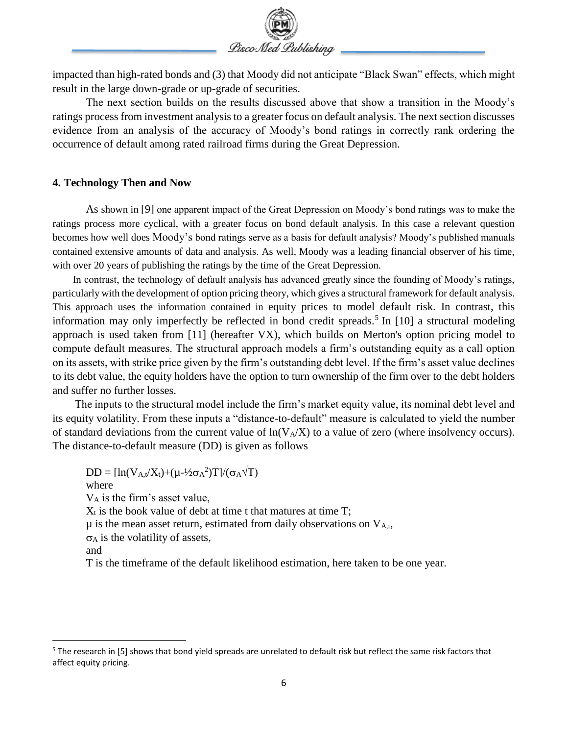

impacted than high-rated bonds and (3) that Moody did not anticipate "Black Swan" effects, which might result in the large down-grade or up-grade of securities.

The next section builds on the results discussed above that show a transition in the Moody's ratings process from investment analysis to a greater focus on default analysis. The next section discusses evidence from an analysis of the accuracy of Moody's bond ratings in correctly rank ordering the occurrence of default among rated railroad firms during the Great Depression.

# **4. Technology Then and Now**

As shown in [9] one apparent impact of the Great Depression on Moody's bond ratings was to make the ratings process more cyclical, with a greater focus on bond default analysis. In this case a relevant question becomes how well does Moody's bond ratings serve as a basis for default analysis? Moody's published manuals contained extensive amounts of data and analysis. As well, Moody was a leading financial observer of his time, with over 20 years of publishing the ratings by the time of the Great Depression.

In contrast, the technology of default analysis has advanced greatly since the founding of Moody's ratings, particularly with the development of option pricing theory, which gives a structural framework for default analysis. This approach uses the information contained in equity prices to model default risk. In contrast, this information may only imperfectly be reflected in bond credit spreads.<sup>5</sup> In [10] a structural modeling approach is used taken from [11] (hereafter VX), which builds on Merton's option pricing model to compute default measures. The structural approach models a firm's outstanding equity as a call option on its assets, with strike price given by the firm's outstanding debt level. If the firm's asset value declines to its debt value, the equity holders have the option to turn ownership of the firm over to the debt holders and suffer no further losses.

The inputs to the structural model include the firm's market equity value, its nominal debt level and its equity volatility. From these inputs a "distance-to-default" measure is calculated to yield the number of standard deviations from the current value of  $ln(V_A/X)$  to a value of zero (where insolvency occurs). The distance-to-default measure (DD) is given as follows

 $DD = [\ln(V_{A,t}/X_t) + (\mu - \frac{1}{2}\sigma_A^2)T]/(\sigma_A\sqrt{T})$ where V<sup>A</sup> is the firm's asset value,  $X_t$  is the book value of debt at time t that matures at time T;  $\mu$  is the mean asset return, estimated from daily observations on  $V_{A,t}$ ,

 $\sigma_A$  is the volatility of assets,

 $\overline{\phantom{a}}$ 

T is the timeframe of the default likelihood estimation, here taken to be one year.

and

 $5$  The research in [5] shows that bond yield spreads are unrelated to default risk but reflect the same risk factors that affect equity pricing.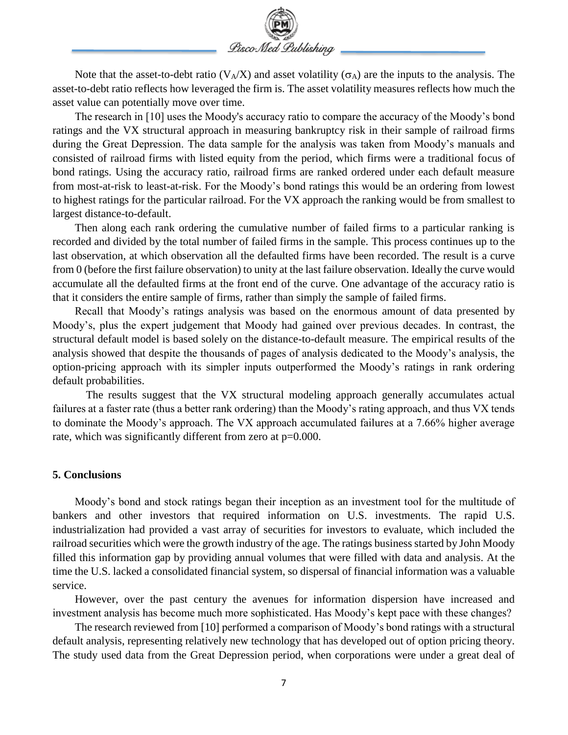

Note that the asset-to-debt ratio ( $V_A/X$ ) and asset volatility ( $\sigma_A$ ) are the inputs to the analysis. The asset-to-debt ratio reflects how leveraged the firm is. The asset volatility measures reflects how much the asset value can potentially move over time.

The research in [10] uses the Moody's accuracy ratio to compare the accuracy of the Moody's bond ratings and the VX structural approach in measuring bankruptcy risk in their sample of railroad firms during the Great Depression. The data sample for the analysis was taken from Moody's manuals and consisted of railroad firms with listed equity from the period, which firms were a traditional focus of bond ratings. Using the accuracy ratio, railroad firms are ranked ordered under each default measure from most-at-risk to least-at-risk. For the Moody's bond ratings this would be an ordering from lowest to highest ratings for the particular railroad. For the VX approach the ranking would be from smallest to largest distance-to-default.

Then along each rank ordering the cumulative number of failed firms to a particular ranking is recorded and divided by the total number of failed firms in the sample. This process continues up to the last observation, at which observation all the defaulted firms have been recorded. The result is a curve from 0 (before the first failure observation) to unity at the last failure observation. Ideally the curve would accumulate all the defaulted firms at the front end of the curve. One advantage of the accuracy ratio is that it considers the entire sample of firms, rather than simply the sample of failed firms.

Recall that Moody's ratings analysis was based on the enormous amount of data presented by Moody's, plus the expert judgement that Moody had gained over previous decades. In contrast, the structural default model is based solely on the distance-to-default measure. The empirical results of the analysis showed that despite the thousands of pages of analysis dedicated to the Moody's analysis, the option-pricing approach with its simpler inputs outperformed the Moody's ratings in rank ordering default probabilities.

The results suggest that the VX structural modeling approach generally accumulates actual failures at a faster rate (thus a better rank ordering) than the Moody's rating approach, and thus VX tends to dominate the Moody's approach. The VX approach accumulated failures at a 7.66% higher average rate, which was significantly different from zero at  $p=0.000$ .

## **5. Conclusions**

Moody's bond and stock ratings began their inception as an investment tool for the multitude of bankers and other investors that required information on U.S. investments. The rapid U.S. industrialization had provided a vast array of securities for investors to evaluate, which included the railroad securities which were the growth industry of the age. The ratings business started by John Moody filled this information gap by providing annual volumes that were filled with data and analysis. At the time the U.S. lacked a consolidated financial system, so dispersal of financial information was a valuable service.

However, over the past century the avenues for information dispersion have increased and investment analysis has become much more sophisticated. Has Moody's kept pace with these changes?

The research reviewed from [10] performed a comparison of Moody's bond ratings with a structural default analysis, representing relatively new technology that has developed out of option pricing theory. The study used data from the Great Depression period, when corporations were under a great deal of